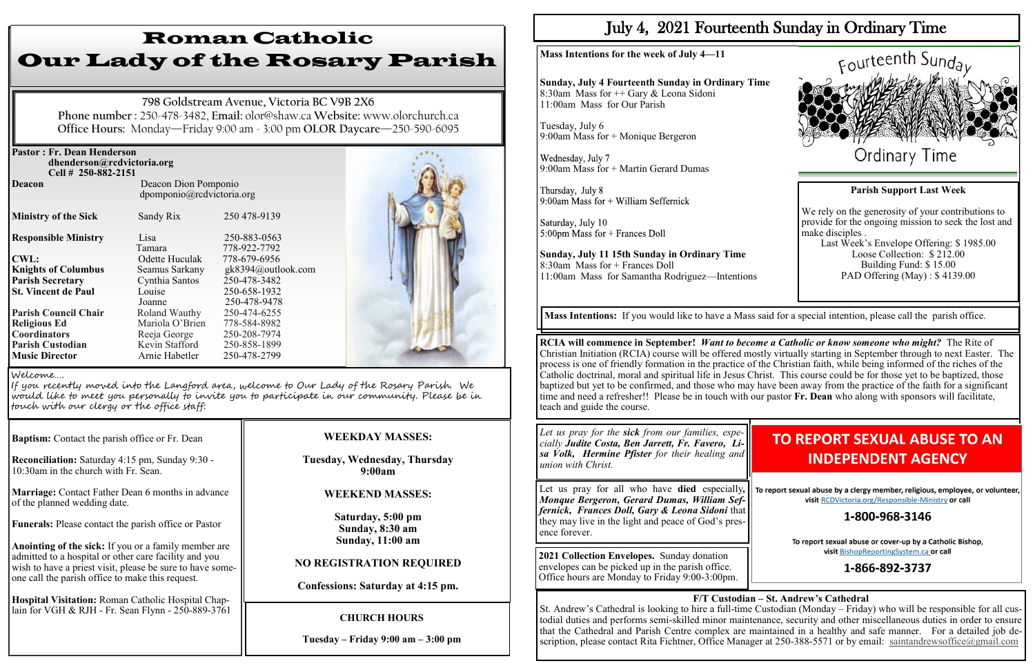| <b>Pastor: Fr. Dean Henderson</b> |                                                   |                    |  |
|-----------------------------------|---------------------------------------------------|--------------------|--|
| dhenderson@rcdvictoria.org        |                                                   |                    |  |
| Cell # 250-882-2151               |                                                   |                    |  |
| <b>Deacon</b>                     | Deacon Dion Pomponio<br>dpomponio@rcdvictoria.org |                    |  |
| <b>Ministry of the Sick</b>       | Sandy Rix                                         | 250 478-9139       |  |
| <b>Responsible Ministry</b>       | Lisa                                              | 250-883-0563       |  |
|                                   | Tamara                                            | 778-922-7792       |  |
| <b>CWL:</b>                       | Odette Huculak                                    | 778-679-6956       |  |
| <b>Knights of Columbus</b>        | Seamus Sarkany                                    | gk8394@outlook.com |  |
| <b>Parish Secretary</b>           | Cynthia Santos                                    | 250-478-3482       |  |
| <b>St. Vincent de Paul</b>        | Louise                                            | 250-658-1932       |  |
|                                   | Joanne                                            | 250-478-9478       |  |
| <b>Parish Council Chair</b>       | Roland Wauthy                                     | 250-474-6255       |  |
| <b>Religious Ed</b>               | Mariola O'Brien                                   | 778-584-8982       |  |
| <b>Coordinators</b>               | Reeja George                                      | 250-208-7974       |  |
| <b>Parish Custodian</b>           | Kevin Stafford                                    | 250-858-1899       |  |
| <b>Music Director</b>             | Arnie Habetler                                    | 250-478-2799       |  |

**Baptism:** Contact the parish office or Fr. Dean

**Reconciliation:** Saturday 4:15 pm, Sunday 9:30 - 10:30am in the church with Fr. Sean.

**Marriage:** Contact Father Dean 6 months in advance of the planned wedding date.

**Funerals:** Please contact the parish office or Pastor

**Anointing of the sick:** If you or a family member are admitted to a hospital or other care facility and you wish to have a priest visit, please be sure to have someone call the parish office to make this request.

Wednesday, July 7 9:00am Mass for + Martin Gerard Dumas

Thursday, July 8 9:00am Mass for  $+$  William Seffernick

Saturday, July 10  $5:00 \text{pm}$  Mass for + Frances Doll

**Hospital Visitation:** Roman Catholic Hospital Chaplain for VGH & RJH - Fr. Sean Flynn - 250-889-3761

# Roman Catholic Our Lady of the Rosary Parish

**798 Goldstream Avenue, Victoria BC V9B 2X6 Phone number :** 250-478-3482, **Email:** olor@shaw.ca **Website:** www.olorchurch.ca **Office Hours:** Monday—Friday 9:00 am - 3:00 pm **OLOR Daycare**—250-590-6095

#### **WEEKDAY MASSES:**

**Tuesday, Wednesday, Thursday 9:00am**

#### **WEEKEND MASSES:**

**Saturday, 5:00 pm Sunday, 8:30 am Sunday, 11:00 am** 

#### **NO REGISTRATION REQUIRED**

**Confessions: Saturday at 4:15 pm.**

Welcome….

If you recently moved into the Langford area, welcome to Our Lady of the Rosary Parish. We would like to meet you personally to invite you to participate in our community. Please be in touch with our clergy or the office staff:

#### **CHURCH HOURS**

**Tuesday – Friday 9:00 am – 3:00 pm**

## July 4, 2021 Fourteenth Sunday in Ordinary Time

St. Andrew's Cathedral is looking to hire a full-time Custodian (Monday – Friday) who will be responsible for all custodial duties and performs semi-skilled minor maintenance, security and other miscellaneous duties in order to ensure that the Cathedral and Parish Centre complex are maintained in a healthy and safe manner. For a detailed job description, please contact Rita Fichtner, Office Manager at 250-388-5571 or by email: [saintandrewsoffice@gmail.com](mailto:saintandrewsoffice@gmail.com)

**Mass Intentions for the week of July 4—11**

**Sunday, July 4 Fourteenth Sunday in Ordinary Time** 8:30am Mass for ++ Gary & Leona Sidoni 11:00am Mass for Our Parish

Tuesday, July 6 9:00am Mass for + Monique Bergeron

**Sunday, July 11 15th Sunday in Ordinary Time** 8:30am Mass for + Frances Doll 11:00am Mass for Samantha Rodriguez—Intentions



## **TO REPORT SEXUAL ABUSE TO AN INDEPENDENT AGENCY**

To report sexual abuse by a clergy member, religious, employee, or volunteer, visit RCDVictoria.org/Responsible-Ministry or call

### 1-800-968-3146

To report sexual abuse or cover-up by a Catholic Bishop, visit BishopReportingSystem.ca or call

### 1-866-892-3737

**RCIA will commence in September!** *Want to become a Catholic or know someone who might?* The Rite of Christian Initiation (RCIA) course will be offered mostly virtually starting in September through to next Easter. The process is one of friendly formation in the practice of the Christian faith, while being informed of the riches of the Catholic doctrinal, moral and spiritual life in Jesus Christ. This course could be for those yet to be baptized, those baptized but yet to be confirmed, and those who may have been away from the practice of the faith for a significant time and need a refresher!! Please be in touch with our pastor **Fr. Dean** who along with sponsors will facilitate, teach and guide the course.

**Mass Intentions:** If you would like to have a Mass said for a special intention, please call the parish office.

*Let us pray for the sick from our families, especially Judite Costa, Ben Jarrett, Fr. Favero, Lisa Volk, Hermine Pfister for their healing and union with Christ.*

Let us pray for all who have **died** especially*, Monque Bergeron, Gerard Dumas, William Seffernick, Frances Doll, Gary & Leona Sidoni* that they may live in the light and peace of God's presence forever.

**2021 Collection Envelopes.** Sunday donation envelopes can be picked up in the parish office. Office hours are Monday to Friday 9:00-3:00pm.

#### **F/T Custodian – St. Andrew's Cathedral**